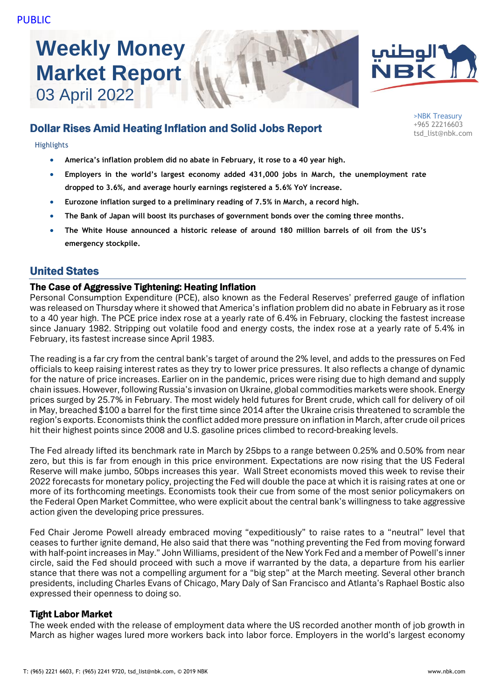# **Weekly Money Market Report** 03 April 2022





>NBK Treasury +965 22216603 tsd\_list@nbk.com

# Dollar Rises Amid Heating Inflation and Solid Jobs Report

#### **Highlights**

- **America's inflation problem did no abate in February, it rose to a 40 year high.**
- **Employers in the world's largest economy added 431,000 jobs in March, the unemployment rate dropped to 3.6%, and average hourly earnings registered a 5.6% YoY increase.**
- **Eurozone inflation surged to a preliminary reading of 7.5% in March, a record high.**
- **The Bank of Japan will boost its purchases of government bonds over the coming three months.**
- **The White House announced a historic release of around 180 million barrels of oil from the US's emergency stockpile.**

# United States

#### The Case of Aggressive Tightening: Heating Inflation

Personal Consumption Expenditure (PCE), also known as the Federal Reserves' preferred gauge of inflation was released on Thursday where it showed that America's inflation problem did no abate in February as it rose to a 40 year high. The PCE price index rose at a yearly rate of 6.4% in February, clocking the fastest increase since January 1982. Stripping out volatile food and energy costs, the index rose at a yearly rate of 5.4% in February, its fastest increase since April 1983.

The reading is a far cry from the central bank's target of around the 2% level, and adds to the pressures on Fed officials to keep raising interest rates as they try to lower price pressures. It also reflects a change of dynamic for the nature of price increases. Earlier on in the pandemic, prices were rising due to high demand and supply chain issues. However, following Russia's invasion on Ukraine, global commodities markets were shook. Energy prices surged by 25.7% in February. The most widely held futures for Brent crude, which call for delivery of oil in May, breached \$100 a barrel for the first time since 2014 after the Ukraine crisis threatened to scramble the region's exports. Economists think the conflict added more pressure on inflation in March, after crude oil prices hit their highest points since 2008 and U.S. gasoline prices climbed to record-breaking levels.

The Fed already lifted its benchmark rate in March by 25bps to a range between 0.25% and 0.50% from near zero, but this is far from enough in this price environment. Expectations are now rising that the US Federal Reserve will make jumbo, 50bps increases this year. Wall Street economists moved this week to revise their 2022 forecasts for monetary policy, projecting the Fed will double the pace at which it is raising rates at one or more of its forthcoming meetings. Economists took their cue from some of the most senior policymakers on the Federal Open Market Committee, who were explicit about the central bank's willingness to take aggressive action given the developing price pressures.

Fed Chair Jerome Powell already embraced moving "expeditiously" to raise rates to a "neutral" level that ceases to further ignite demand, He also said that there was "nothing preventing the Fed from moving forward with half-point increases in May." John Williams, president of the New York Fed and a member of Powell's inner circle, said the Fed should proceed with such a move if warranted by the data, a departure from his earlier stance that there was not a compelling argument for a "big step" at the March meeting. Several other branch presidents, including Charles Evans of Chicago, Mary Daly of San Francisco and Atlanta's Raphael Bostic also expressed their openness to doing so.

# Tight Labor Market

The week ended with the release of employment data where the US recorded another month of job growth in March as higher wages lured more workers back into labor force. Employers in the world's largest economy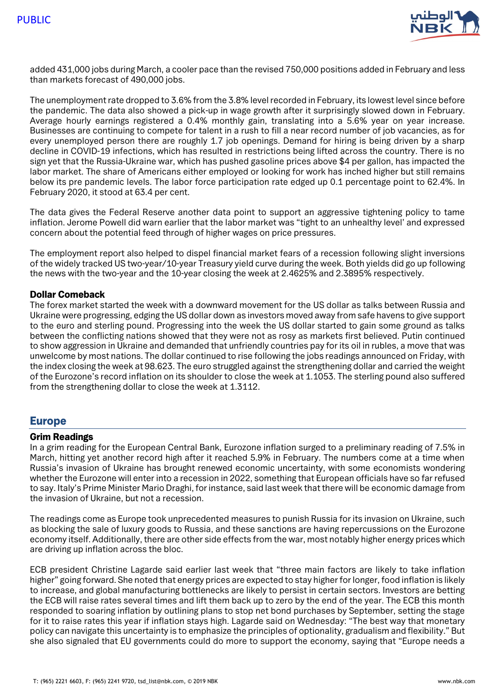

added 431,000 jobs during March, a cooler pace than the revised 750,000 positions added in February and less than markets forecast of 490,000 jobs.

The unemployment rate dropped to 3.6% from the 3.8% level recorded in February, its lowest level since before the pandemic. The data also showed a pick-up in wage growth after it surprisingly slowed down in February. Average hourly earnings registered a 0.4% monthly gain, translating into a 5.6% year on year increase. Businesses are continuing to compete for talent in a rush to fill a near record number of job vacancies, as for every unemployed person there are roughly 1.7 job openings. Demand for hiring is being driven by a sharp decline in COVID-19 infections, which has resulted in restrictions being lifted across the country. There is no sign yet that the Russia-Ukraine war, which has pushed gasoline prices above \$4 per gallon, has impacted the labor market. The share of Americans either employed or looking for work has inched higher but still remains below its pre pandemic levels. The labor force participation rate edged up 0.1 percentage point to 62.4%. In February 2020, it stood at 63.4 per cent.

The data gives the Federal Reserve another data point to support an aggressive tightening policy to tame inflation. Jerome Powell did warn earlier that the labor market was "tight to an unhealthy level' and expressed concern about the potential feed through of higher wages on price pressures.

The employment report also helped to dispel financial market fears of a recession following slight inversions of the widely tracked US two-year/10-year Treasury yield curve during the week. Both yields did go up following the news with the two-year and the 10-year closing the week at 2.4625% and 2.3895% respectively.

### Dollar Comeback

The forex market started the week with a downward movement for the US dollar as talks between Russia and Ukraine were progressing, edging the US dollar down as investors moved away from safe havens to give support to the euro and sterling pound. Progressing into the week the US dollar started to gain some ground as talks between the conflicting nations showed that they were not as rosy as markets first believed. Putin continued to show aggression in Ukraine and demanded that unfriendly countries pay for its oil in rubles, a move that was unwelcome by most nations. The dollar continued to rise following the jobs readings announced on Friday, with the index closing the week at 98.623. The euro struggled against the strengthening dollar and carried the weight of the Eurozone's record inflation on its shoulder to close the week at 1.1053. The sterling pound also suffered from the strengthening dollar to close the week at 1.3112.

# Europe

#### Grim Readings

In a grim reading for the European Central Bank, Eurozone inflation surged to a preliminary reading of 7.5% in March, hitting yet another record high after it reached 5.9% in February. The numbers come at a time when Russia's invasion of Ukraine has brought renewed economic uncertainty, with some economists wondering whether the Eurozone will enter into a recession in 2022, something that European officials have so far refused to say. Italy's Prime Minister Mario Draghi, for instance, said last week that there will be economic damage from the invasion of Ukraine, but not a recession.

The readings come as Europe took unprecedented measures to punish Russia for its invasion on Ukraine, such as blocking the sale of luxury goods to Russia, and these sanctions are having repercussions on the Eurozone economy itself. Additionally, there are other side effects from the war, most notably higher energy prices which are driving up inflation across the bloc.

ECB president Christine Lagarde said earlier last week that "three main factors are likely to take inflation higher" going forward. She noted that energy prices are expected to stay higher for longer, food inflation is likely to increase, and global manufacturing bottlenecks are likely to persist in certain sectors. Investors are betting the ECB will raise rates several times and lift them back up to zero by the end of the year. The ECB this month responded to soaring inflation by outlining plans to stop net bond purchases by September, setting the stage for it to raise rates this year if inflation stays high. Lagarde said on Wednesday: "The best way that monetary policy can navigate this uncertainty is to emphasize the principles of optionality, gradualism and flexibility." But she also signaled that EU governments could do more to support the economy, saying that "Europe needs a